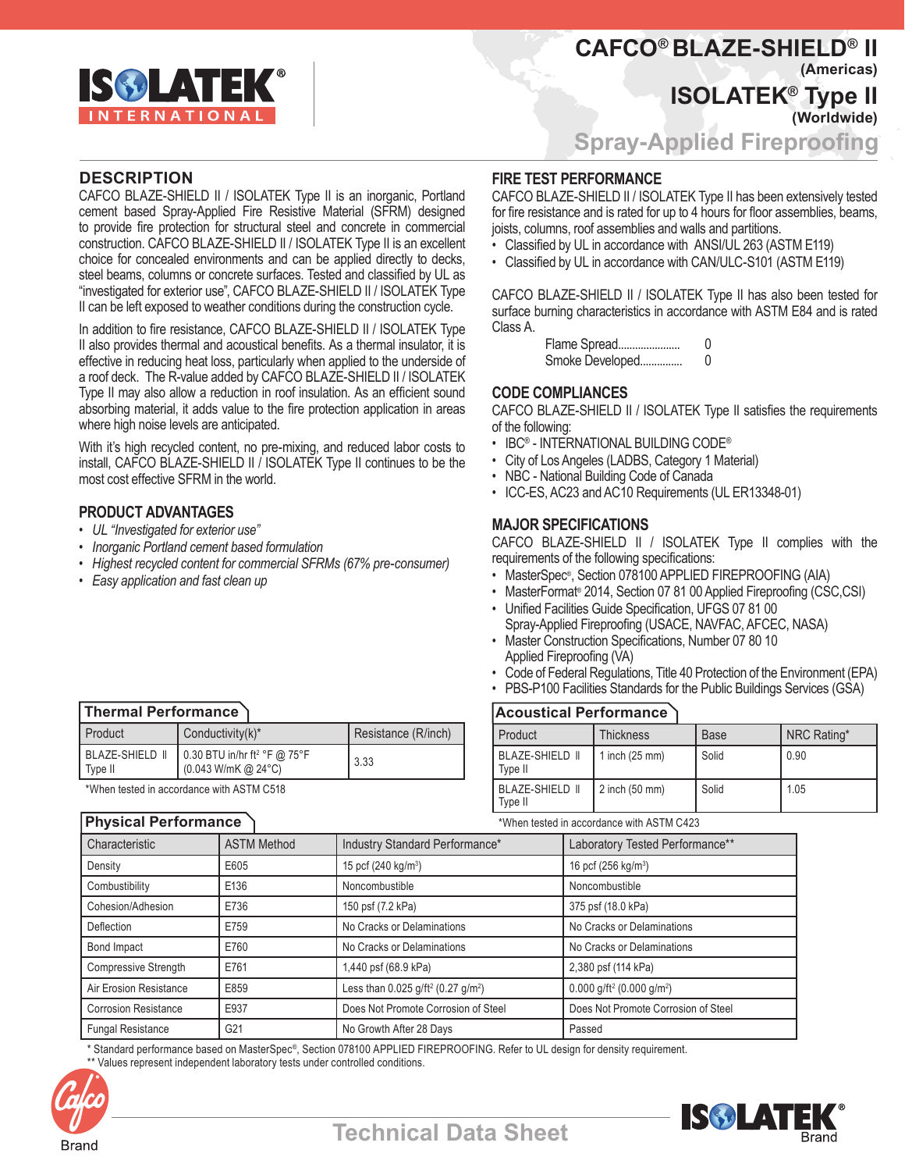

# **DESCRIPTION**

CAFCO BLAZE-SHIELD II / ISOLATEK Type II is an inorganic, Portland cement based Spray-Applied Fire Resistive Material (SFRM) designed to provide fire protection for structural steel and concrete in commercial construction. CAFCO BLAZE-SHIELD II / ISOLATEK Type II is an excellent choice for concealed environments and can be applied directly to decks, steel beams, columns or concrete surfaces. Tested and classified by UL as "investigated for exterior use", CAFCO BLAZE-SHIELD II / ISOLATEK Type II can be left exposed to weather conditions during the construction cycle.

In addition to fire resistance, CAFCO BLAZE-SHIELD II / ISOLATEK Type II also provides thermal and acoustical benefits. As a thermal insulator, it is effective in reducing heat loss, particularly when applied to the underside of a roof deck. The R-value added by CAFCO BLAZE-SHIELD II / ISOLATEK Type II may also allow a reduction in roof insulation. As an efficient sound absorbing material, it adds value to the fire protection application in areas where high noise levels are anticipated.

With it's high recycled content, no pre-mixing, and reduced labor costs to install, CAFCO BLAZE-SHIELD II / ISOLATEK Type II continues to be the most cost effective SFRM in the world.

# **PRODUCT ADVANTAGES**

- *• UL "Investigated for exterior use"*
- *• Inorganic Portland cement based formulation*
- *• Highest recycled content for commercial SFRMs (67% pre-consumer)*
- *• Easy application and fast clean up*

# **Thermal Performance**

| Product                    | Conductivity $(k)^*$                                                                                     | Resistance (R/inch) |
|----------------------------|----------------------------------------------------------------------------------------------------------|---------------------|
| BLAZE-SHIELD II<br>Type II | $\Box$ 0.30 BTU in/hr ft <sup>2</sup> °F @ 75°F<br>$(0.043 \text{ W/mK} \text{ @ } 24^{\circ} \text{C})$ | 3.33                |

\*When tested in accordance with ASTM C518

# **Physical Performance**

# **ISOLATEK® Type II (Worldwide) CAFCO® BLAZE-SHIELD® II (Americas)**

**Spray-Applied Fireproofing**

# **FIRE TEST PERFORMANCE**

CAFCO BLAZE-SHIELD II / ISOLATEK Type II has been extensively tested for fire resistance and is rated for up to 4 hours for floor assemblies, beams, joists, columns, roof assemblies and walls and partitions.

- Classified by UL in accordance with ANSI/UL 263 (ASTM E119)
- Classified by UL in accordance with CAN/ULC-S101 (ASTM E119)

CAFCO BLAZE-SHIELD II / ISOLATEK Type II has also been tested for surface burning characteristics in accordance with ASTM E84 and is rated Class A.

> Flame Spread...................... 0 Smoke Developed............... 0

# **CODE COMPLIANCES**

CAFCO BLAZE-SHIELD II / ISOLATEK Type II satisfies the requirements of the following:

- IBC® INTERNATIONAL BUILDING CODE®
- City of Los Angeles (LADBS, Category 1 Material)
- NBC National Building Code of Canada
- ICC-ES, AC23 and AC10 Requirements (UL ER13348-01)

# **MAJOR SPECIFICATIONS**

CAFCO BLAZE-SHIELD II / ISOLATEK Type II complies with the requirements of the following specifications:

- MasterSpec®, Section 078100 APPLIED FIREPROOFING (AIA)
- MasterFormat® 2014, Section 07 81 00 Applied Fireproofing (CSC,CSI)
- Unified Facilities Guide Specification, UFGS 07 81 00 Spray-Applied Fireproofing (USACE, NAVFAC, AFCEC, NASA)
- Master Construction Specifications, Number 07 80 10 Applied Fireproofing (VA)
- Code of Federal Regulations, Title 40 Protection of the Environment (EPA)
- PBS-P100 Facilities Standards for the Public Buildings Services (GSA)

# **Acoustical Performance**

| Product                    | <b>Thickness</b> | <b>Base</b> | NRC Rating* |  |
|----------------------------|------------------|-------------|-------------|--|
| BLAZE-SHIELD II<br>Type II | $1$ inch (25 mm) | Solid       | 0.90        |  |
| BLAZE-SHIELD II<br>Type II | $2$ inch (50 mm) | Solid       | 1.05        |  |

\*When tested in accordance with ASTM C423

| Characteristic              | <b>ASTM Method</b> | Industry Standard Performance*                             | Laboratory Tested Performance**                   |
|-----------------------------|--------------------|------------------------------------------------------------|---------------------------------------------------|
| Density                     | E605               | 15 pcf $(240 \text{ kg/m}^3)$                              | 16 pcf (256 kg/m <sup>3</sup> )                   |
| Combustibility              | E136               | Noncombustible                                             | Noncombustible                                    |
| Cohesion/Adhesion           | E736               | 150 psf (7.2 kPa)                                          | 375 psf (18.0 kPa)                                |
| Deflection                  | E759               | No Cracks or Delaminations                                 | No Cracks or Delaminations                        |
| Bond Impact                 | E760               | No Cracks or Delaminations                                 | No Cracks or Delaminations                        |
| <b>Compressive Strength</b> | E761               | 1,440 psf (68.9 kPa)                                       | 2,380 psf (114 kPa)                               |
| Air Erosion Resistance      | E859               | Less than 0.025 g/ft <sup>2</sup> (0.27 g/m <sup>2</sup> ) | 0.000 g/ft <sup>2</sup> (0.000 g/m <sup>2</sup> ) |
| <b>Corrosion Resistance</b> | E937               | Does Not Promote Corrosion of Steel                        | Does Not Promote Corrosion of Steel               |
| <b>Fungal Resistance</b>    | G21                | No Growth After 28 Days                                    | Passed                                            |

\* Standard performance based on MasterSpec®, Section 078100 APPLIED FIREPROOFING. Refer to UL design for density requirement. \*\* Values represent independent laboratory tests under controlled conditions.